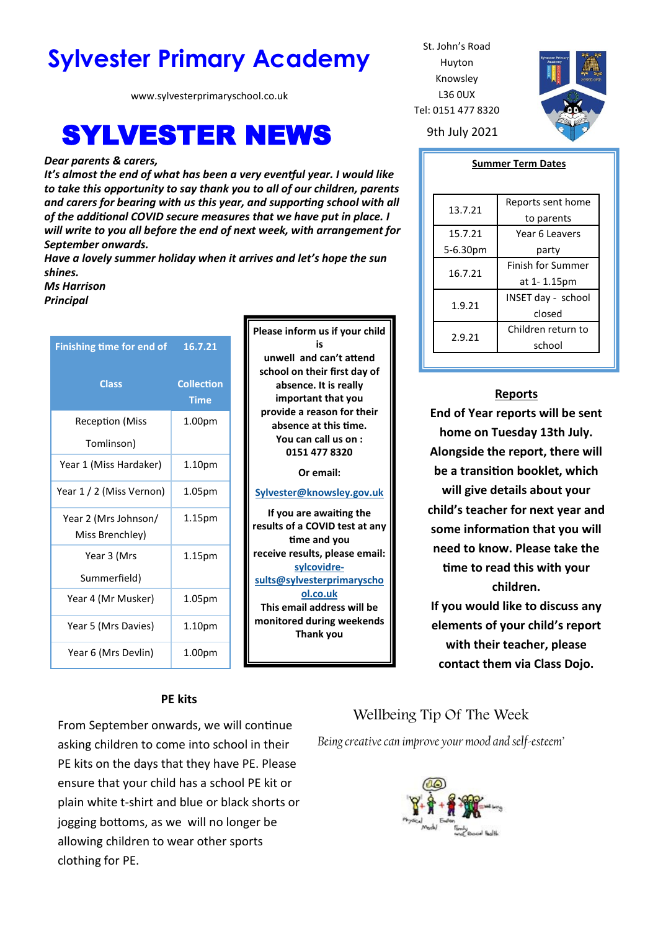# **Sylvester Primary Academy** St. John's Road

www.sylvesterprimaryschool.co.uk

# **SYLVESTER NEWS** 9th July 2021

#### *Dear parents & carers,*

*It's almost the end of what has been a very eventful year. I would like to take this opportunity to say thank you to all of our children, parents and carers for bearing with us this year, and supporting school with all of the additional COVID secure measures that we have put in place. I will write to you all before the end of next week, with arrangement for September onwards.*

*Have a lovely summer holiday when it arrives and let's hope the sun shines.*

> **Please inform us if your child is unwell and can't attend school on their first day of absence. It is really important that you provide a reason for their absence at this time. You can call us on : 0151 477 8320 Or email: [Sylvester@knowsley.gov.uk](mailto:sylvesterprimaryschool.gov.uk) If you are awaiting the results of a COVID test at any time and you receive results, please email: [sylcovidre](mailto:sylcovidresults@sylvesterprimaryschool.co.uk)[sults@sylvesterprimaryscho](mailto:sylcovidresults@sylvesterprimaryschool.co.uk) [ol.co.uk](mailto:sylcovidresults@sylvesterprimaryschool.co.uk) This email address will be monitored during weekends Thank you**

*Ms Harrison*

*Principal*

| <b>Finishing time for end of</b>        | 16.7.21                          |
|-----------------------------------------|----------------------------------|
| <b>Class</b>                            | <b>Collection</b><br><b>Time</b> |
| <b>Reception (Miss</b>                  | 1.00 <sub>pm</sub>               |
| Tomlinson)                              |                                  |
| Year 1 (Miss Hardaker)                  | 1.10 <sub>pm</sub>               |
| Year 1 / 2 (Miss Vernon)                | 1.05 <sub>pm</sub>               |
| Year 2 (Mrs Johnson/<br>Miss Brenchley) | 1.15 <sub>pm</sub>               |
| Year 3 (Mrs<br>Summerfield)             | 1.15pm                           |
| Year 4 (Mr Musker)                      | 1.05pm                           |
| Year 5 (Mrs Davies)                     | 1.10 <sub>pm</sub>               |
| Year 6 (Mrs Devlin)                     | 1.00pm                           |

### **PE kits**

From September onwards, we will continue asking children to come into school in their PE kits on the days that they have PE. Please ensure that your child has a school PE kit or plain white t-shirt and blue or black shorts or jogging bottoms, as we will no longer be allowing children to wear other sports clothing for PE.

Huyton Knowsley L36 0UX Tel: 0151 477 8320



#### **Summer Term Dates**

| 13.7.21  | Reports sent home        |
|----------|--------------------------|
|          | to parents               |
| 15.7.21  | Year 6 Leavers           |
| 5-6.30pm | party                    |
| 16.7.21  | <b>Finish for Summer</b> |
|          | at 1-1.15pm              |
| 1.9.21   | INSET day - school       |
|          | closed                   |
| 2.9.21   | Children return to       |
|          | school                   |

### **Reports**

**End of Year reports will be sent home on Tuesday 13th July. Alongside the report, there will be a transition booklet, which will give details about your child's teacher for next year and some information that you will need to know. Please take the time to read this with your children. If you would like to discuss any elements of your child's report with their teacher, please** 

**contact them via Class Dojo.** 

## Wellbeing Tip Of The Week

*Being creative can improve your mood and self-esteem'*